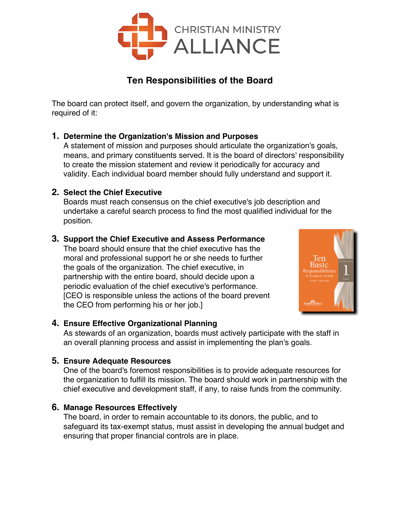

# **Ten Responsibilities of the Board**

The board can protect itself, and govern the organization, by understanding what is required of it:

## **1. Determine the Organization's Mission and Purposes**

A statement of mission and purposes should articulate the organization's goals, means, and primary constituents served. It is the board of directors' responsibility to create the mission statement and review it periodically for accuracy and validity. Each individual board member should fully understand and support it.

#### **2. Select the Chief Executive**

Boards must reach consensus on the chief executive's job description and undertake a careful search process to find the most qualified individual for the position.

## **3. Support the Chief Executive and Assess Performance**

The board should ensure that the chief executive has the moral and professional support he or she needs to further the goals of the organization. The chief executive, in partnership with the entire board, should decide upon a periodic evaluation of the chief executive's performance. [CEO is responsible unless the actions of the board prevent the CEO from performing his or her job.]



## **4. Ensure Effective Organizational Planning**

As stewards of an organization, boards must actively participate with the staff in an overall planning process and assist in implementing the plan's goals.

## **5. Ensure Adequate Resources**

One of the board's foremost responsibilities is to provide adequate resources for the organization to fulfill its mission. The board should work in partnership with the chief executive and development staff, if any, to raise funds from the community.

## **6. Manage Resources Effectively**

The board, in order to remain accountable to its donors, the public, and to safeguard its tax-exempt status, must assist in developing the annual budget and ensuring that proper financial controls are in place.